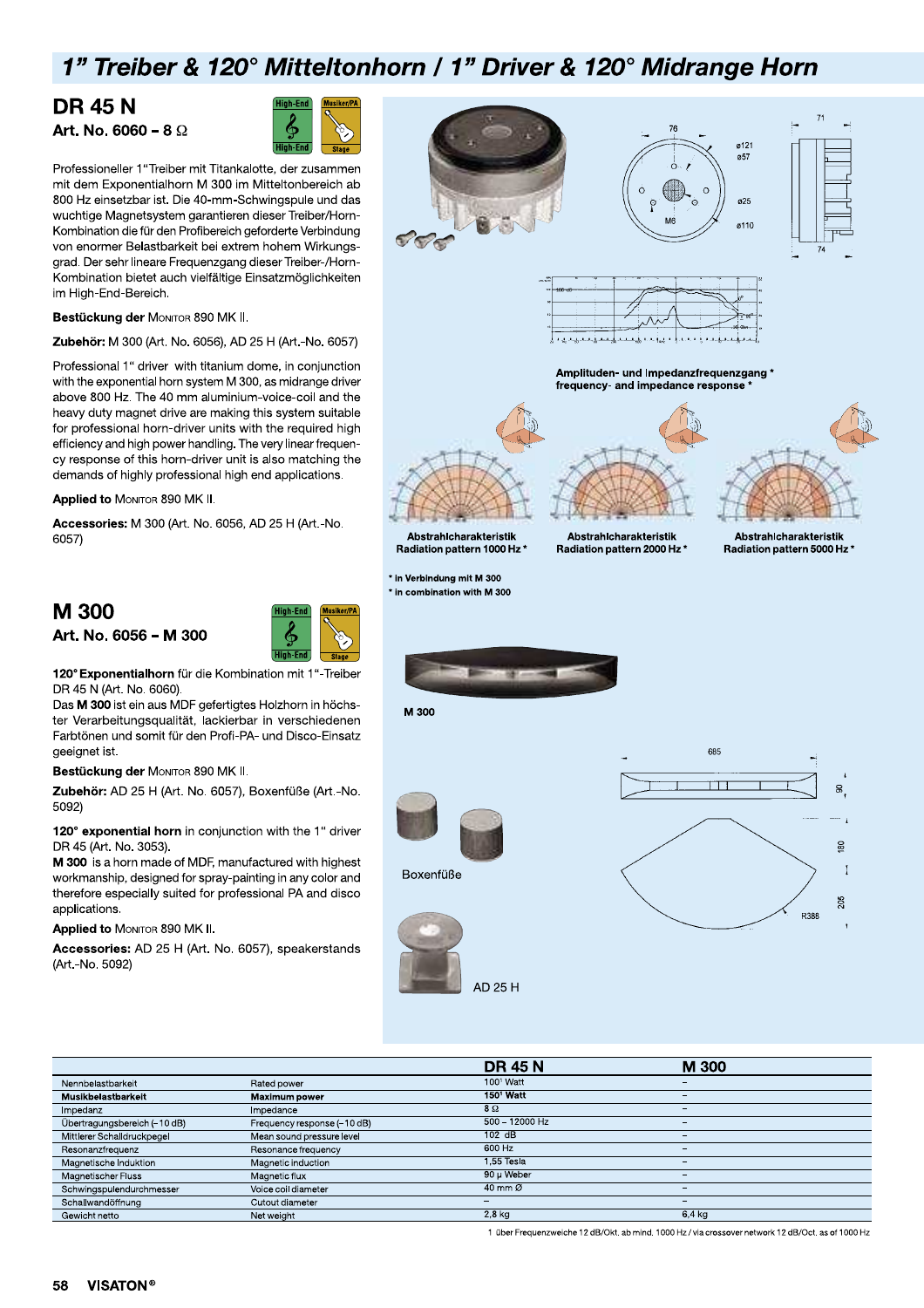## 1" Treiber & 120° Mitteltonhorn / 1" Driver & 120° Midrange Horn

#### **DR 45 N** Art. No. 6060 - 8  $\Omega$



Professioneller 1"Treiber mit Titankalotte, der zusammen mit dem Exponentialhorn M 300 im Mitteltonbereich ab 800 Hz einsetzbar ist. Die 40-mm-Schwingspule und das wuchtige Magnetsystem garantieren dieser Treiber/Horn-Kombination die für den Profibereich geforderte Verbindung von enormer Belastbarkeit bei extrem hohem Wirkungsgrad. Der sehr lineare Frequenzgang dieser Treiber-/Horn-Kombination bietet auch vielfältige Einsatzmöglichkeiten im High-End-Bereich.

Bestückung der MONITOR 890 MK II.

Zubehör: M 300 (Art. No. 6056), AD 25 H (Art.-No. 6057)

Professional 1" driver with titanium dome, in conjunction with the exponential horn system M 300, as midrange driver above 800 Hz. The 40 mm aluminium-voice-coil and the heavy duty magnet drive are making this system suitable for professional horn-driver units with the required high efficiency and high power handling. The very linear frequency response of this horn-driver unit is also matching the demands of highly professional high end applications.

**Applied to MONITOR 890 MK II.** 

Accessories: M 300 (Art. No. 6056, AD 25 H (Art.-No. 6057)

## M 300

Art. No. 6056 - M 300



120° Exponentialhorn für die Kombination mit 1"-Treiber DR 45 N (Art. No. 6060).

Das M 300 ist ein aus MDF gefertigtes Holzhorn in höchster Verarbeitungsqualität, lackierbar in verschiedenen Farbtönen und somit für den Profi-PA- und Disco-Einsatz geeignet ist.

Bestückung der MONITOR 890 MK II.

Zubehör: AD 25 H (Art. No. 6057), Boxenfüße (Art.-No. 5092)

120° exponential horn in conjunction with the 1" driver DR 45 (Art. No. 3053).

M 300 is a horn made of MDF, manufactured with highest workmanship, designed for spray-painting in any color and therefore especially suited for professional PA and disco applications.

**Applied to MONITOR 890 MK II.** 

Accessories: AD 25 H (Art. No. 6057), speakerstands (Art.-No. 5092)









Amplituden- und Impedanzfrequenzgang\* frequency- and impedance response



Abstrahlcharakteristik



Radiation pattern 1000 Hz \*

Abstrahlcharakteristik Radiation pattern 2000 Hz \*



Abstrahlcharakteristik Radiation pattern 5000 Hz \*





M 300



Boxenfüße





|                              |                             | <b>DR 45 N</b>        | M 300                    |
|------------------------------|-----------------------------|-----------------------|--------------------------|
| Nennbelastbarkeit            | Rated power                 | $1001$ Watt           |                          |
| Musikbelastbarkeit           | <b>Maximum power</b>        | 150 <sup>1</sup> Watt |                          |
| Impedanz                     | Impedance                   | $8\Omega$             | $\overline{\phantom{a}}$ |
| Übertragungsbereich (-10 dB) | Frequency response (-10 dB) | $500 - 12000$ Hz      |                          |
| Mittlerer Schalldruckpegel   | Mean sound pressure level   | $102$ dB              |                          |
| Resonanzfrequenz             | Resonance frequency         | 600 Hz                | $\overline{\phantom{a}}$ |
| Magnetische Induktion        | Magnetic induction          | 1.55 Tesla            | -                        |
| Magnetischer Fluss           | Magnetic flux               | 90 µ Weber            |                          |
| Schwingspulendurchmesser     | Voice coil diameter         | $40$ mm $\Omega$      | $\overline{\phantom{0}}$ |
| Schallwandöffnung            | Cutout diameter             | -                     | $\overline{\phantom{a}}$ |
| Gewicht netto                | Net weight                  | 2.8 <sub>kq</sub>     | $6.4$ kg                 |

1 über Frequenzweiche 12 dB/Okt. ab mind. 1000 Hz / via crossover network 12 dB/Oct. as of 1000 Hz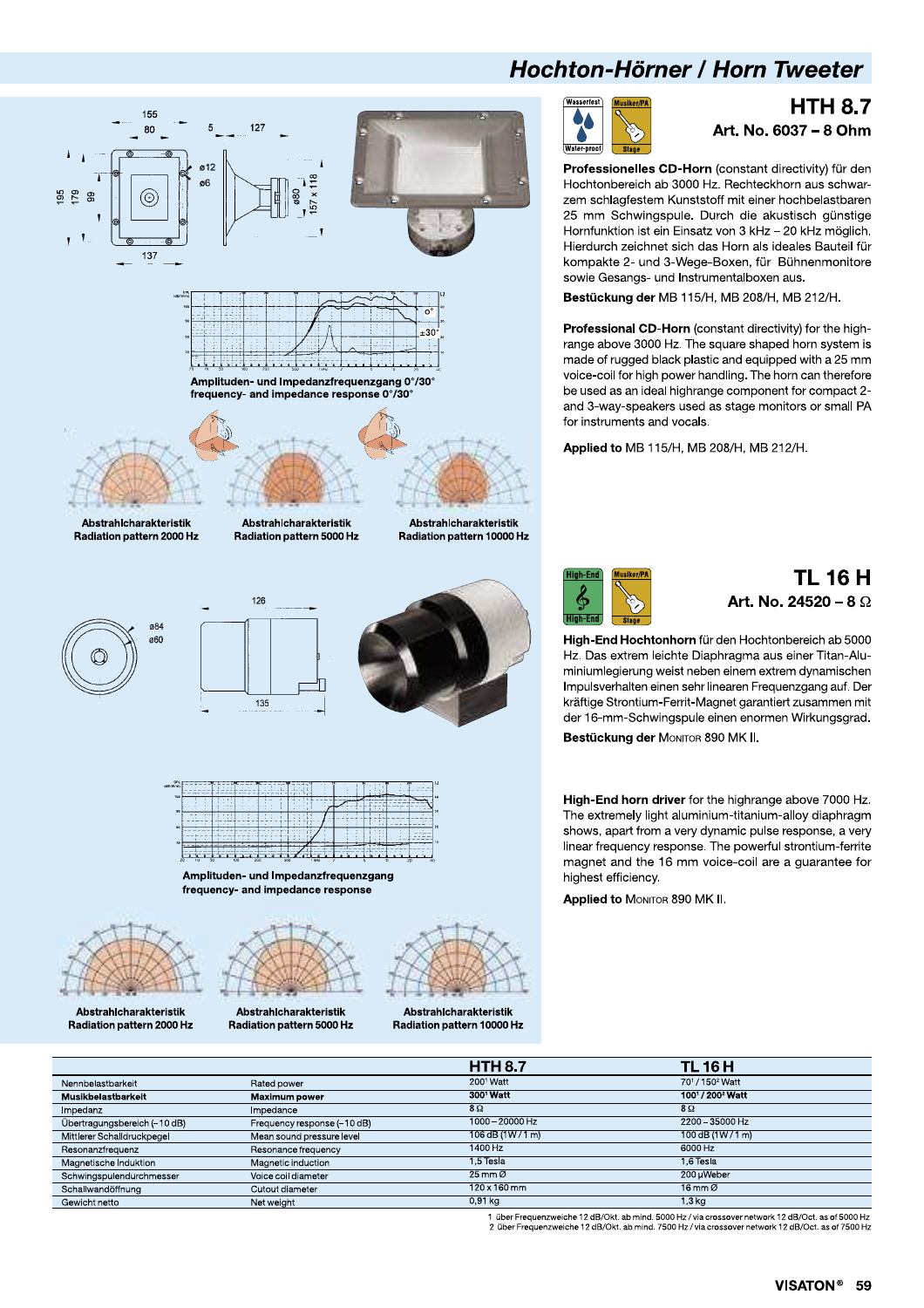# Hochton-Hörner / Horn Tweeter





#### $HTH$  8.7 Art. No. 6037 – 8 Ohm

Professionelles CD-Horn (constant directivity) für den Hochtonbereich ab 3000 Hz. Rechteckhorn aus schwarzem schlagfestem Kunststoff mit einer hochbelastbaren 25 mm Schwingspule. Durch die akustisch günstige Hornfunktion ist ein Einsatz von 3 kHz - 20 kHz möglich. Hierdurch zeichnet sich das Horn als ideales Bauteil für kompakte 2- und 3-Wege-Boxen, für Bühnenmonitore sowie Gesangs- und Instrumentalboxen aus. Hochlonbereich ab 3000 Hz. Hechteckhorn aus scriwar-<br>zem schlagfestem Kunststoff mit einer hochbelastbaren<br>25 mm Schwingspule. Durch die akustisch günstige<br>Hornfunktion ist ein Einsatz von 3 kHz – 20 kHz möglich.<br>Hierdurch

range above 3000 Hz. The square shaped horn system is made of rugged black plastic and equipped with a 25 mm voice-coil for high power handling. The horn can therefore be used as an ideal highrange component for compact 2and 3-way-speakers used as stage monitors or small PA for instruments and vocals.

Applied to MB 115/H, MB 208/H, MB 212/H.



## **TL 16 H** Art. No. 24520 – 8  $\Omega$

High-End Hochtonhorn für den Hochtonbereich ab 5000 Hz. Das extrem leichte Diaphragma aus einer Titan-Aluminiumlegierung weist neben einem extrem dynamischen Impulsverhalten einen sehr linearen Frequenzgang auf. Der kräftige Strontium-Ferrit-Magnet garantiert zusammen mit der 16-mm-Schwingspule einen enormen Wirkungsgrad. Bestückung der MONITOR 890 MK II.

High-End horn driver for the highrange above 7000 Hz. The extremely light aluminium-titanium-alloy diaphragm shows, apart from a very dynamic pulse response, a very linear frequency response. The powerful strontium-ferrite magnet and the 16 mm voice-coil are a guarantee for highest efficiency.

Applied to MONITOR 890 MK II.

| March Highland and Office Charles and Lake<br>Abstrahlcharakteristik<br>Radiation pattern 2000 Hz | <b>Mary Company of Canada</b><br>Abstrahlcharakteristik<br>Radiation pattern 5000 Hz | The property of the party of the<br>Abstrahlcharakteristik<br>Radiation pattern 10000 Hz |                                         |
|---------------------------------------------------------------------------------------------------|--------------------------------------------------------------------------------------|------------------------------------------------------------------------------------------|-----------------------------------------|
|                                                                                                   |                                                                                      | <b>HTH 8.7</b>                                                                           | TL 16 H                                 |
| Nennbelastbarkeit                                                                                 | Rated power                                                                          | 200 <sup>1</sup> Watt                                                                    | 70 <sup>1</sup> / 150 <sup>2</sup> Watt |
| Musikbelastbarkeit                                                                                | <b>Maximum power</b>                                                                 | 300' Watt                                                                                | 1001/200 <sup>2</sup> Watt              |
| Impedanz                                                                                          | Impedance                                                                            | $8\Omega$                                                                                | $8\Omega$                               |
| Übertragungsbereich (-10 dB)                                                                      | Frequency response (-10 dB)                                                          | 1000 - 20000 Hz                                                                          | $2200 - 35000$ Hz                       |
| Mittlerer Schalldruckpegel                                                                        | Mean sound pressure level                                                            | $106$ dB (1W/1 m)                                                                        | 100 dB $(1W/1m)$                        |
| Resonanzfrequenz                                                                                  | Resonance frequency                                                                  | 1400 Hz                                                                                  | 6000 Hz                                 |
| Magnetische Induktion                                                                             | Magnetic induction                                                                   | 1,5 Tesla                                                                                | 1.6 Tesla                               |
| Schwingspulendurchmesser                                                                          | Voice coil diameter                                                                  | $25 \text{ mm}$ $\varnothing$                                                            | 200 µWeber                              |
| Schallwandöffnung                                                                                 | Cutout diameter                                                                      | 120 x 160 mm                                                                             | $16$ mm $\varnothing$                   |
| Gewicht netto                                                                                     | Net weight                                                                           | $0,91$ kg                                                                                | $1,3$ kg                                |

1 über Frequenzweiche 12 dB/Okt. ab mind. 5000 Hz / via crossover network 12 dB/Oct. as of 5000 Hz 2 über Frequenzweiche 12 dB/Okt, ab mind, 7500 Hz / via crossover network 12 dB/Oct, as of 7500 Hz